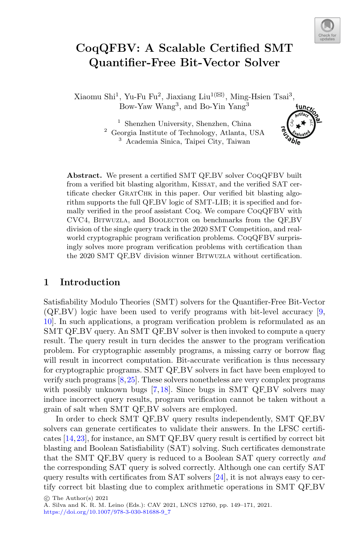

# **CoqQFBV: A Scalable Certified SMT Quantifier-Free Bit-Vector Solver**

Xiaomu Shi $^1,$  Yu-Fu Fu $^2,$  Jiaxiang Liu $^{1(\boxtimes)},$  Ming-Hsien Tsai $^3,$ Bow-Yaw Wang<sup>3</sup>, and Bo-Yin Yang<sup>3</sup>  $fun_{C}$ 

> <sup>1</sup> Shenzhen University, Shenzhen, China <sup>2</sup> Georgia Institute of Technology, Atlanta, USA <sup>3</sup> Academia Sinica, Taipei City, Taiwan

Abstract. We present a certified SMT QF<sub>-BV</sub> solver CoQQFBV built from a verified bit blasting algorithm, KISSAT, and the verified SAT certificate checker GRATCHK in this paper. Our verified bit blasting algorithm supports the full QF\_BV logic of SMT-LIB; it is specified and formally verified in the proof assistant Coq. We compare CoqQFBV with CVC4, Bitwuzla, and Boolector on benchmarks from the QF BV division of the single query track in the 2020 SMT Competition, and realworld cryptographic program verification problems. CoqQFBV surprisingly solves more program verification problems with certification than the 2020 SMT QF\_BV division winner BITWUZLA without certification.

## **1 Introduction**

Satisfiability Modulo Theories (SMT) solvers for the Quantifier-Free Bit-Vector  $(QF_{\rm B}V)$  logic have been used to verify programs with bit-level accuracy [\[9,](#page-21-0) [10\]](#page-21-1). In such applications, a program verification problem is reformulated as an SMT QF BV query. An SMT QF BV solver is then invoked to compute a query result. The query result in turn decides the answer to the program verification problem. For cryptographic assembly programs, a missing carry or borrow flag will result in incorrect computation. Bit-accurate verification is thus necessary for cryptographic programs. SMT QF BV solvers in fact have been employed to verify such programs  $[8,25]$  $[8,25]$ . These solvers nonetheless are very complex programs with possibly unknown bugs  $[7,18]$  $[7,18]$  $[7,18]$ . Since bugs in SMT QF-BV solvers may induce incorrect query results, program verification cannot be taken without a grain of salt when SMT QF BV solvers are employed.

In order to check SMT QF BV query results independently, SMT QF BV solvers can generate certificates to validate their answers. In the LFSC certificates [\[14](#page-21-4)[,23](#page-22-1)], for instance, an SMT QF BV query result is certified by correct bit blasting and Boolean Satisfiability (SAT) solving. Such certificates demonstrate that the SMT QF BV query is reduced to a Boolean SAT query correctly *and* the corresponding SAT query is solved correctly. Although one can certify SAT query results with certificates from SAT solvers  $[24]$ , it is not always easy to certify correct bit blasting due to complex arithmetic operations in SMT QF BV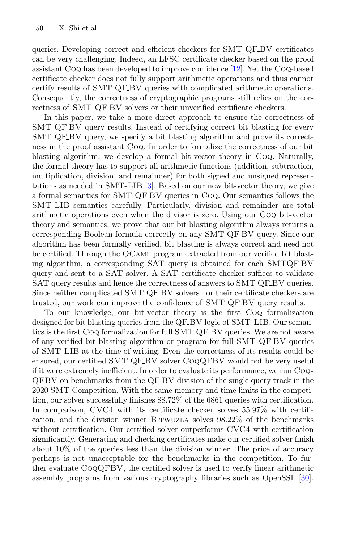queries. Developing correct and efficient checkers for SMT QF.BV certificates can be very challenging. Indeed, an LFSC certificate checker based on the proof assistant Coq has been developed to improve confidence [\[12](#page-21-5)]. Yet the Coq-based certificate checker does not fully support arithmetic operations and thus cannot certify results of SMT QF\_BV queries with complicated arithmetic operations. Consequently, the correctness of cryptographic programs still relies on the correctness of SMT QF\_BV solvers or their unverified certificate checkers.

In this paper, we take a more direct approach to ensure the correctness of SMT QF BV query results. Instead of certifying correct bit blasting for every SMT QF\_BV query, we specify a bit blasting algorithm and prove its correctness in the proof assistant Coq. In order to formalize the correctness of our bit blasting algorithm, we develop a formal bit-vector theory in Coq. Naturally, the formal theory has to support all arithmetic functions (addition, subtraction, multiplication, division, and remainder) for both signed and unsigned representations as needed in SMT-LIB [\[3\]](#page-20-1). Based on our new bit-vector theory, we give a formal semantics for SMT QF BV queries in Coq. Our semantics follows the SMT-LIB semantics carefully. Particularly, division and remainder are total arithmetic operations even when the divisor is zero. Using our Coq bit-vector theory and semantics, we prove that our bit blasting algorithm always returns a corresponding Boolean formula correctly on any SMT QF BV query. Since our algorithm has been formally verified, bit blasting is always correct and need not be certified. Through the OCaml program extracted from our verified bit blasting algorithm, a corresponding SAT query is obtained for each SMTQF BV query and sent to a SAT solver. A SAT certificate checker suffices to validate SAT query results and hence the correctness of answers to SMT QF\_BV queries. Since neither complicated SMT QF BV solvers nor their certificate checkers are trusted, our work can improve the confidence of SMT QF BV query results.

To our knowledge, our bit-vector theory is the first Coq formalization designed for bit blasting queries from the QF BV logic of SMT-LIB. Our semantics is the first Coq formalization for full SMT QF BV queries. We are not aware of any verified bit blasting algorithm or program for full SMT QF BV queries of SMT-LIB at the time of writing. Even the correctness of its results could be ensured, our certified SMT QF BV solver CoqQFBV would not be very useful if it were extremely inefficient. In order to evaluate its performance, we run Coq-QFBV on benchmarks from the QF BV division of the single query track in the 2020 SMT Competition. With the same memory and time limits in the competition, our solver successfully finishes 88.72% of the 6861 queries with certification. In comparison, CVC4 with its certificate checker solves 55.97% with certification, and the division winner Bitwuzla solves 98.22% of the benchmarks without certification. Our certified solver outperforms CVC4 with certification significantly. Generating and checking certificates make our certified solver finish about 10% of the queries less than the division winner. The price of accuracy perhaps is not unacceptable for the benchmarks in the competition. To further evaluate CoqQFBV, the certified solver is used to verify linear arithmetic assembly programs from various cryptography libraries such as OpenSSL [\[30\]](#page-22-3).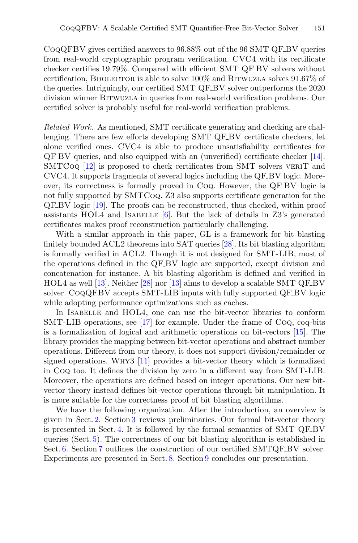CoqQFBV gives certified answers to 96.88% out of the 96 SMT QF BV queries from real-world cryptographic program verification. CVC4 with its certificate checker certifies 19.79%. Compared with efficient SMT QF BV solvers without certification, BOOLECTOR is able to solve  $100\%$  and BITWUZLA solves  $91.67\%$  of the queries. Intriguingly, our certified SMT QF\_BV solver outperforms the 2020 division winner Bitwuzla in queries from real-world verification problems. Our certified solver is probably useful for real-world verification problems.

*Related Work.* As mentioned, SMT certificate generating and checking are challenging. There are few efforts developing SMT QF BV certificate checkers, let alone verified ones. CVC4 is able to produce unsatisfiability certificates for QF BV queries, and also equipped with an (unverified) certificate checker [\[14\]](#page-21-4). SMTCoq [\[12\]](#page-21-5) is proposed to check certificates from SMT solvers VERIT and CVC4. It supports fragments of several logics including the QF BV logic. Moreover, its correctness is formally proved in Coq. However, the QF BV logic is not fully supported by SMTCoq. Z3 also supports certificate generation for the QF BV logic [\[19\]](#page-21-6). The proofs can be reconstructed, thus checked, within proof assistants  $HOL4$  and ISABELLE [\[6\]](#page-20-2). But the lack of details in Z3's generated certificates makes proof reconstruction particularly challenging.

With a similar approach in this paper, GL is a framework for bit blasting finitely bounded ACL2 theorems into SAT queries [\[28\]](#page-22-4). Its bit blasting algorithm is formally verified in ACL2. Though it is not designed for SMT-LIB, most of the operations defined in the QF BV logic are supported, except division and concatenation for instance. A bit blasting algorithm is defined and verified in HOL4 as well [\[13\]](#page-21-7). Neither [\[28](#page-22-4)] nor [\[13](#page-21-7)] aims to develop a scalable SMT QF BV solver. CoqQFBV accepts SMT-LIB inputs with fully supported QF BV logic while adopting performance optimizations such as caches.

In Isabelle and HOL4, one can use the bit-vector libraries to conform SMT-LIB operations, see [\[17](#page-21-8)] for example. Under the frame of Coq, coq-bits is a formalization of logical and arithmetic operations on bit-vectors [\[15\]](#page-21-9). The library provides the mapping between bit-vector operations and abstract number operations. Different from our theory, it does not support division/remainder or signed operations. Why3 [\[11\]](#page-21-10) provides a bit-vector theory which is formalized in Coq too. It defines the division by zero in a different way from SMT-LIB. Moreover, the operations are defined based on integer operations. Our new bitvector theory instead defines bit-vector operations through bit manipulation. It is more suitable for the correctness proof of bit blasting algorithms.

We have the following organization. After the introduction, an overview is given in Sect. [2.](#page-3-0) Section [3](#page-4-0) reviews preliminaries. Our formal bit-vector theory is presented in Sect. [4.](#page-5-0) It is followed by the formal semantics of SMT QF BV queries (Sect. [5\)](#page-8-0). The correctness of our bit blasting algorithm is established in Sect. [6.](#page-11-0) Section [7](#page-15-0) outlines the construction of our certified SMTQF\_BV solver. Experiments are presented in Sect. [8.](#page-16-0) Section [9](#page-20-3) concludes our presentation.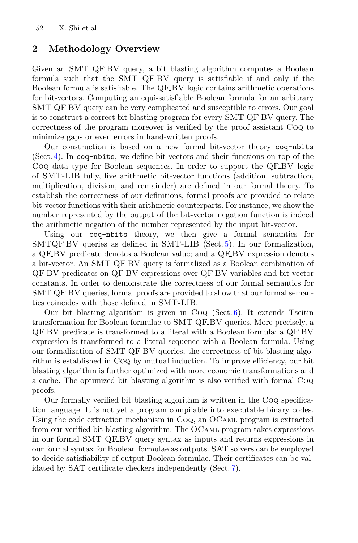## <span id="page-3-0"></span>**2 Methodology Overview**

Given an SMT QF BV query, a bit blasting algorithm computes a Boolean formula such that the SMT QF BV query is satisfiable if and only if the Boolean formula is satisfiable. The QF BV logic contains arithmetic operations for bit-vectors. Computing an equi-satisfiable Boolean formula for an arbitrary SMT QF BV query can be very complicated and susceptible to errors. Our goal is to construct a correct bit blasting program for every SMT QF\_BV query. The correctness of the program moreover is verified by the proof assistant Coq to minimize gaps or even errors in hand-written proofs.

Our construction is based on a new formal bit-vector theory coq-nbits (Sect. [4\)](#page-5-0). In coq-nbits, we define bit-vectors and their functions on top of the Coq data type for Boolean sequences. In order to support the QF BV logic of SMT-LIB fully, five arithmetic bit-vector functions (addition, subtraction, multiplication, division, and remainder) are defined in our formal theory. To establish the correctness of our definitions, formal proofs are provided to relate bit-vector functions with their arithmetic counterparts. For instance, we show the number represented by the output of the bit-vector negation function is indeed the arithmetic negation of the number represented by the input bit-vector.

Using our coq-nbits theory, we then give a formal semantics for SMTQF\_BV queries as defined in SMT-LIB (Sect. [5\)](#page-8-0). In our formalization, a QF BV predicate denotes a Boolean value; and a QF BV expression denotes a bit-vector. An SMT QF BV query is formalized as a Boolean combination of QF BV predicates on QF BV expressions over QF BV variables and bit-vector constants. In order to demonstrate the correctness of our formal semantics for SMT QF BV queries, formal proofs are provided to show that our formal semantics coincides with those defined in SMT-LIB.

Our bit blasting algorithm is given in  $CoQ$  (Sect. [6\)](#page-11-0). It extends Tseitin transformation for Boolean formulae to SMT QF BV queries. More precisely, a QF BV predicate is transformed to a literal with a Boolean formula; a QF BV expression is transformed to a literal sequence with a Boolean formula. Using our formalization of SMT QF BV queries, the correctness of bit blasting algorithm is established in Coq by mutual induction. To improve efficiency, our bit blasting algorithm is further optimized with more economic transformations and a cache. The optimized bit blasting algorithm is also verified with formal Coq proofs.

Our formally verified bit blasting algorithm is written in the Coq specification language. It is not yet a program compilable into executable binary codes. Using the code extraction mechanism in Coq, an OCaml program is extracted from our verified bit blasting algorithm. The OCaml program takes expressions in our formal SMT QF BV query syntax as inputs and returns expressions in our formal syntax for Boolean formulae as outputs. SAT solvers can be employed to decide satisfiability of output Boolean formulae. Their certificates can be validated by SAT certificate checkers independently (Sect. [7\)](#page-15-0).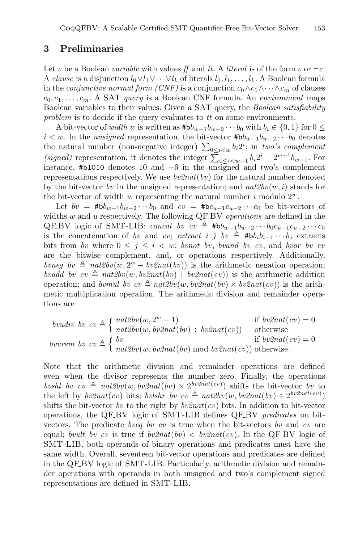## <span id="page-4-0"></span>**3 Preliminaries**

Let v be a Boolean *variable* with values *ff* and *tt*. A *literal* is of the form v or  $\neg v$ . A *clause* is a disjunction  $l_0 \vee l_1 \vee \cdots \vee l_k$  of literals  $l_0, l_1, \ldots, l_k$ . A Boolean formula in the *conjunctive normal form (CNF)* is a conjunction  $c_0 \wedge c_1 \wedge \cdots \wedge c_m$  of clauses  $c_0, c_1, \ldots, c_m$ . A SAT *query* is a Boolean CNF formula. An *environment* maps Boolean variables to their values. Given a SAT query, the *Boolean satisfiability problem* is to decide if the query evaluates to *tt* on some environments.

A bit-vector of *width* w is written as  $#bb_{w-1}b_{w-2}\cdots b_0$  with  $b_i \in \{0,1\}$  for  $0 \leq$  $i < w$ . In the *unsigned* representation, the bit-vector  $#bb_{w-1}b_{w-2}\cdots b_0$  denotes the natural number (non-negative integer)  $\sum_{0 \le i \le w} b_i 2^i$ ; in *two's complement* (signed) representation, it denotes the integer  $\sum_{0 \leq i \leq w-1} b_i 2^i - 2^{w-1} b_{w-1}$ . For instance, #b1010 denotes 10 and −6 in the unsigned and two's complement representations respectively. We use *bv2nat*(*bv*) for the natural number denoted by the bit-vector *bv* in the unsigned representation; and  $nat2bv(w, i)$  stands for the bit-vector of width w representing the natural number  $i$  modulo  $2^w$ .

Let  $bv = #bb_{w-1}b_{w-2}\cdots b_0$  and  $cv = #bc_{u-1}c_{u-2}\cdots c_0$  be bit-vectors of widths w and u respectively. The following QF BV *operations* are defined in the QF BV logic of SMT-LIB: *concat bv cv*  $\triangleq$  #b $b_{w-1}b_{w-2}\cdots b_0c_{u-1}c_{u-2}\cdots c_0$ is the concatenation of *bv* and *cv*; *extract i* j *bv*  $\triangleq$   $#bb_{i}b_{i-1} \cdots b_{j}$  extracts bits from *bv* where  $0 \leq j \leq i \leq w$ ; *bvnot bv*, *bvand bv cv*, and *bvor bv cv* are the bitwise complement, and, or operations respectively. Additionally, *bvneg bv*  $\triangleq$  *nat2bv*(w, 2<sup>w</sup> − *bv2nat*(*bv*)) is the arithmetic negation operation; *bvadd bv cv*  $\triangleq$   $nat2bv(w, bv2nat(bv) + bv2nat(cv))$  is the arithmetic addition operation; and *bvmul bv cv*  $\triangleq nat2bv(w, bv2nat(bv) \times bv2nat(cv))$  is the arithmetic multiplication operation. The arithmetic division and remainder operations are

*boudiv bv* 
$$
cv \triangleq \begin{cases} nat2bv(w, 2^w - 1) & \text{if } bv2nat(cv) = 0\\ nat2bv(w, bv2nat(bv) \div bv2nat(cv)) & \text{otherwise} \end{cases}
$$
  
*bvurem bv*  $cv \triangleq \begin{cases} bv & \text{if } bv2nat(cv) = 0\\ nat2bv(w, bv2nat(bv) \text{ mod } bv2nat(cv)) \text{ otherwise.} \end{cases}$ 

Note that the arithmetic division and remainder operations are defined even when the divisor represents the number zero. Finally, the operations *bvshl bv cv*  $\triangleq$  *nat2bv*(w, *bv2nat*(*bv*) × 2<sup>*bv2nat*(*cv*)) shifts the bit-vector *bv* to</sup> the left by  $bv2nat(cv)$  bits; *bvlshr bv cv*  $\triangleq nat2bv(w, bv2nat(bv) \div 2^{bv2nat(cv)})$ shifts the bit-vector *bv* to the right by *bv2nat*(*cv*) bits. In addition to bit-vector operations, the QF BV logic of SMT-LIB defines QF BV *predicates* on bitvectors. The predicate *bveq bv cv* is true when the bit-vectors *bv* and *cv* are equal; *bvult bv cv* is true if  $bv2nat(bv) < bv2nat(cv)$ . In the QF\_BV logic of SMT-LIB, both operands of binary operations and predicates must have the same width. Overall, seventeen bit-vector operations and predicates are defined in the QF BV logic of SMT-LIB. Particularly, arithmetic division and remainder operations with operands in both unsigned and two's complement signed representations are defined in SMT-LIB.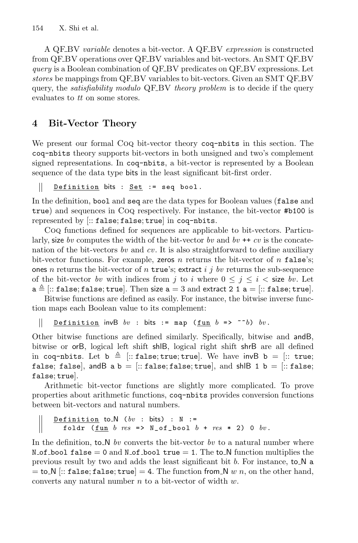A QF BV *variable* denotes a bit-vector. A QF BV *expression* is constructed from QF BV operations over QF BV variables and bit-vectors. An SMT QF BV *query* is a Boolean combination of QF\_BV predicates on QF\_BV expressions. Let *stores* be mappings from QF\_BV variables to bit-vectors. Given an SMT QF\_BV query, the *satisfiability modulo* QF BV *theory problem* is to decide if the query evaluates to *tt* on some stores.

## <span id="page-5-0"></span>**4 Bit-Vector Theory**

We present our formal Coq bit-vector theory coq-nbits in this section. The coq-nbits theory supports bit-vectors in both unsigned and two's complement signed representations. In coq-nbits, a bit-vector is represented by a Boolean sequence of the data type bits in the least significant bit-first order.

Definition bits : Set := seq bool.  $\mathbb{I}$ 

In the definition, bool and seq are the data types for Boolean values (false and true) and sequences in Coq respectively. For instance, the bit-vector #b100 is represented by [:: false; false; true] in coq-nbits.

Coq functions defined for sequences are applicable to bit-vectors. Particularly, size *bv* computes the width of the bit-vector *bv* and *bv* ++ *cv* is the concatenation of the bit-vectors *bv* and *cv*. It is also straightforward to define auxiliary bit-vector functions. For example, zeros n returns the bit-vector of n false's; ones *n* returns the bit-vector of *n* true's; extract i j bv returns the sub-sequence of the bit-vector *bv* with indices from j to i where  $0 \le j \le i <$  size *bv*. Let  ${\tt a} \triangleq [::{\tt false};{\tt false};{\tt true}].$  Then size  ${\tt a}=3$  and extract 2 1  ${\tt a}=[::{\tt false};{\tt true}].$ 

Bitwise functions are defined as easily. For instance, the bitwise inverse function maps each Boolean value to its complement:

 $\overline{\phantom{a}}$ Definition invB  $bv$  : bits := map (fun  $b \Rightarrow$   $\sim$   $b$ )  $bv$ .

Other bitwise functions are defined similarly. Specifically, bitwise and andB, bitwise or orB, logical left shift shlB, logical right shift shrB are all defined in coq-nbits. Let  $\mathbf{b} \triangleq$  [:: false; true; true]. We have invB  $\mathbf{b} =$  [:: true; false; false, andB a b =  $[::$  false; false; true, and shiB 1 b =  $[::$  false; false; true].

Arithmetic bit-vector functions are slightly more complicated. To prove properties about arithmetic functions, coq-nbits provides conversion functions between bit-vectors and natural numbers.

Definition to N (*bv* : bits) : N := foldr (fun  $b$   $res$   $\Rightarrow$   $N_{of}$  bool  $b + res$   $\ast$  2) 0  $bv$ .

In the definition, to  $\mathbb{N}$  by converts the bit-vector by to a natural number where N of bool false = 0 and N of bool true = 1. The to  $N$  function multiplies the previous result by two and adds the least significant bit b. For instance, to N a  $=$  to N [:: false; false; true]  $=$  4. The function from N w n, on the other hand, converts any natural number  $n$  to a bit-vector of width  $w$ .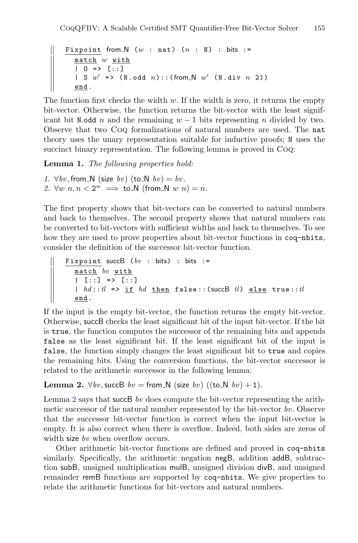```
Fixpoint from \mathbb N (w : nat) (n : N) : bits :=
  match w with
  | 0 \Rightarrow [::]
  | S w' => (N.odd n)::(from N w' (N.div n 2))
  end .
```
The function first checks the width  $w$ . If the width is zero, it returns the empty bit-vector. Otherwise, the function returns the bit-vector with the least significant bit N.odd n and the remaining  $w - 1$  bits representing n divided by two. Observe that two Coq formalizations of natural numbers are used. The nat theory uses the unary representation suitable for inductive proofs; N uses the succinct binary representation. The following lemma is proved in CoQ:

**Lemma 1.** *The following properties hold:*

```
1. \forall bv, from \forall N (size bv) (to \forall N bv) = bv.
2. \forall w \; n, n < 2^w \implies \text{to=N (from_N w n)} = n.
```
The first property shows that bit-vectors can be converted to natural numbers and back to themselves. The second property shows that natural numbers can be converted to bit-vectors with sufficient widths and back to themselves. To see how they are used to prove properties about bit-vector functions in coq-nbits, consider the definition of the successor bit-vector function.

Fixpoint succB (*bv* : bits) : bits := match *bv* with | [::] => [::] | *hd* ::*tl* => if *hd* then false::(succB *tl* ) else true::*tl* end .

If the input is the empty bit-vector, the function returns the empty bit-vector. Otherwise, succB checks the least significant bit of the input bit-vector. If the bit is true, the function computes the successor of the remaining bits and appends false as the least significant bit. If the least significant bit of the input is false, the function simply changes the least significant bit to true and copies the remaining bits. Using the conversion functions, the bit-vector successor is related to the arithmetic successor in the following lemma:

#### <span id="page-6-0"></span>**Lemma 2.**  $\forall bv, succB$   $bv = from_N$  (size  $bv$ ) ((to  $N$   $bv$ ) + 1).

Lemma [2](#page-6-0) says that succB *bv* does compute the bit-vector representing the arithmetic successor of the natural number represented by the bit-vector *bv*. Observe that the successor bit-vector function is correct when the input bit-vector is empty. It is also correct when there is overflow. Indeed, both sides are zeros of width size *bv* when overflow occurs.

Other arithmetic bit-vector functions are defined and proved in coq-nbits similarly. Specifically, the arithmetic negation negB, addition addB, subtraction subB, unsigned multiplication mulB, unsigned division divB, and unsigned remainder remB functions are supported by coq-nbits. We give properties to relate the arithmetic functions for bit-vectors and natural numbers.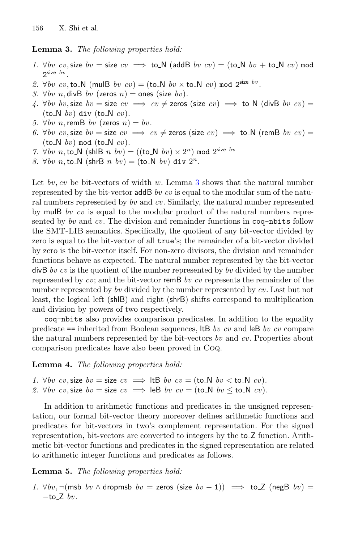**Lemma 3.** *The following properties hold:*

- *1.* ∀*bv cv*, size  $bv = \text{size } cv \implies$  to N (addB *bv cv*) = (to N *bv* + to N *cv*) mod  $2$ size  $bv$
- 2.  $\forall bv\ cv, \text{to} \N$  (mulB *bv cv*) = (to N *bv*  $\times$  to N *cv*) mod 2<sup>size *bv*.</sup>
- *3.* ∀*bv n*, divB *bv* (zeros *n*) = ones (size *bv*).
- *4.* ∀*bv bv*, size  $bv = \text{size } cv \implies cv \neq \text{zeros}$  (size  $cv) \implies \text{to} \_N$  (divB *bv cv*) =  $(to_N b v)$  div  $(to_N c v)$ .
- *5.* ∀*bv n*, remB *bv* (zeros *n*) = *bv*.
- *6.* ∀*bv cv*, size  $bv =$  size  $cv \implies cv \neq$  zeros (size  $cv) \implies$  to N (remB *bv cv*) =  $(to_N \; bv) \text{ mod } (to_N \; cv).$
- <span id="page-7-0"></span>*7.*  $\forall bv \ n, \text{to} \ N \ (\text{shlB } n \ bv) = ((\text{to} \ N \ bv) \times 2^n) \ \text{mod} \ 2^{\text{size } bv}$
- *8.*  $\forall bv \; n, \text{to} \mathbb{N} \text{ (shrB } n \; bv) = (\text{to} \mathbb{N} \; bv) \text{ div } 2^n$ .

Let *bv*, *cv* be bit-vectors of width w. Lemma [3](#page-7-0) shows that the natural number represented by the bit-vector addB *bv cv* is equal to the modular sum of the natural numbers represented by *bv* and *cv*. Similarly, the natural number represented by mulB *bv cv* is equal to the modular product of the natural numbers represented by *bv* and *cv*. The division and remainder functions in coq-nbits follow the SMT-LIB semantics. Specifically, the quotient of any bit-vector divided by zero is equal to the bit-vector of all true's; the remainder of a bit-vector divided by zero is the bit-vector itself. For non-zero divisors, the division and remainder functions behave as expected. The natural number represented by the bit-vector divB *bv cv* is the quotient of the number represented by *bv* divided by the number represented by *cv*; and the bit-vector remB *bv cv* represents the remainder of the number represented by *bv* divided by the number represented by *cv*. Last but not least, the logical left (shlB) and right (shrB) shifts correspond to multiplication and division by powers of two respectively.

coq-nbits also provides comparison predicates. In addition to the equality predicate == inherited from Boolean sequences, ltB *bv cv* and leB *bv cv* compare the natural numbers represented by the bit-vectors *bv* and *cv*. Properties about comparison predicates have also been proved in Coq.

**Lemma 4.** *The following properties hold:*

*1.*  $\forall bv\ cv, \text{size}\ bv = \text{size}\ cv \implies \text{ltB}\ bv\ cv = (\text{to\_N}\ bv < \text{to\_N}\ cv).$ 2.  $\forall bv\ cv, \text{size}\ bv = \text{size}\ cv \implies$  leB  $bv\ cv = (\text{to\_N}\ bv \leq \text{to\_N}\ cv)$ .

In addition to arithmetic functions and predicates in the unsigned representation, our formal bit-vector theory moreover defines arithmetic functions and predicates for bit-vectors in two's complement representation. For the signed representation, bit-vectors are converted to integers by the to Z function. Arithmetic bit-vector functions and predicates in the signed representation are related to arithmetic integer functions and predicates as follows.

#### <span id="page-7-1"></span>**Lemma 5.** *The following properties hold:*

*1.*  $\forall bv, \neg(msb \; bv \land \text{drophs} \; bv = \text{zeros} \; (\text{size} \; bv - 1)) \implies \text{toZ} \; (\text{negB} \; bv) =$  $-to_-Z$  *bv*.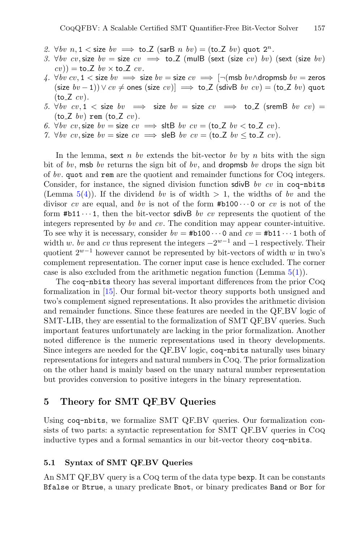- 2.  $\forall bv \ n, 1 \leq size \quad bv \implies \text{to Z} \ (\text{sarB} \ n \quad bv) = (\text{to Z} \ bv) \ \text{quot } 2^n$ .
- *3.* ∀*bv cv*, size  $bv = \text{size } cv \implies \text{toZ}$  (mulB (sext (size *cv*) *bv*) (sext (size *bv*)  $cv$ )) = to\_Z *bv* × to\_Z *cv*.
- <span id="page-8-2"></span>*4.*  $\forall bv\ cv, 1 <$  size  $bv \implies$  size  $bv =$  size  $cv \implies \neg(\textsf{msb}\ bv \land \textsf{dropmsb}\ bv =$  zeros  $(\text{size } bv - 1) \vee cv \neq \text{ones } (\text{size } cv) \implies \text{to } Z (\text{sdivB } bv \text{ } cv) = (\text{to } Z \text{ } bv)$  quot  $(to_Z cv)$ .
- *5.* ∀*bv cv*, 1 < size *bv*  $\implies$  size *bv* = size *cv*  $\implies$  to Z (sremB *bv cv*) =  $(to_Z bv)$  rem  $(to_Z cv)$ *.*
- <span id="page-8-1"></span>*6.*  $\forall bv\ cv, \text{size}\ bv = \text{size}\ cv \implies \text{sltB}\ bv\ cv = (\text{toZ}\ bv < \text{to.Z}\ cv).$
- *7.*  $\forall bv\ cv, \text{size}\ bv = \text{size}\ cv \implies \text{sleep}\ bv\ cv = (\text{to}\ \text{Z}\ bv \leq \text{to}\ \text{Z}\ cv).$

In the lemma, sext  $n$  *bv* extends the bit-vector *bv* by  $n$  bits with the sign bit of *bv*, msb *bv* returns the sign bit of *bv*, and dropmsb *bv* drops the sign bit of *bv*. quot and rem are the quotient and remainder functions for Coq integers. Consider, for instance, the signed division function sdivB *bv cv* in coq-nbits (Lemma  $5(4)$  $5(4)$ ). If the dividend *bv* is of width  $> 1$ , the widths of *bv* and the divisor *cv* are equal, and *bv* is not of the form  $#b100 \cdots 0$  or *cv* is not of the form  $#b11 \cdots 1$ , then the bit-vector sdivB *bv cv* represents the quotient of the integers represented by *bv* and *cv*. The condition may appear counter-intuitive. To see why it is necessary, consider  $bv = #b100 \cdots 0$  and  $cv = #b11 \cdots 1$  both of width w. *bv* and *cv* thus represent the integers  $-2^{w-1}$  and  $-1$  respectively. Their quotient  $2^{w-1}$  however cannot be represented by bit-vectors of width w in two's complement representation. The corner input case is hence excluded. The corner case is also excluded from the arithmetic negation function (Lemma  $5(1)$  $5(1)$ ).

The coq-nbits theory has several important differences from the prior Coq formalization in [\[15\]](#page-21-9). Our formal bit-vector theory supports both unsigned and two's complement signed representations. It also provides the arithmetic division and remainder functions. Since these features are needed in the QF BV logic of SMT-LIB, they are essential to the formalization of SMT QF-BV queries. Such important features unfortunately are lacking in the prior formalization. Another noted difference is the numeric representations used in theory developments. Since integers are needed for the QF\_BV logic, coq-nbits naturally uses binary representations for integers and natural numbers in Coq. The prior formalization on the other hand is mainly based on the unary natural number representation but provides conversion to positive integers in the binary representation.

## <span id="page-8-0"></span>**5 Theory for SMT QF BV Queries**

Using coq-nbits, we formalize SMT QF-BV queries. Our formalization consists of two parts: a syntactic representation for SMT QF BV queries in Coq inductive types and a formal semantics in our bit-vector theory coq-nbits.

#### **5.1 Syntax of SMT QF BV Queries**

An SMT QF-BV query is a Coq term of the data type bexp. It can be constants Bfalse or Btrue, a unary predicate Bnot, or binary predicates Band or Bor for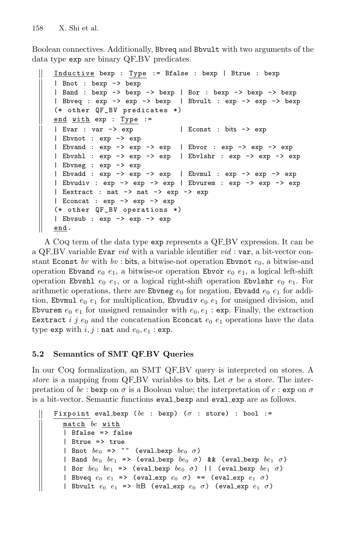$\mathbb{I}$ 

Boolean connectives. Additionally, Bbveq and Bbvult with two arguments of the data type exp are binary QF\_BV predicates.

```
Inductive bexp : Type := Bfalse : bexp | Btrue : bexp
| Bnot : bexp -> bexp
| Band : bexp -> bexp -> bexp | Bor : bexp -> bexp -> bexp
| Bbveq : exp -> exp -> bexp | Bbvult : exp -> exp -> bexp
(* other QF_BV predicates *)
end with exp : Type :=
| Evar : var -> exp | Econst : bits -> exp
| Ebvnot : exp -> exp
| Ebvand : exp -> exp -> exp | Ebvor : exp -> exp -> exp
| Ebvshl : exp -> exp -> exp | Ebvlshr : exp -> exp -> exp
| Ebvneg : exp -> exp
| Ebvadd : exp -> exp -> exp | Ebvmul : exp -> exp -> exp
| Ebvudiv : exp -> exp -> exp | Ebvurem : exp -> exp -> exp
| Eextract : nat -> nat -> exp -> exp
| Econcat : exp -> exp -> exp
(* other QF_BV operations *)
| Ebvsub : exp -> exp -> exp
end .
```
A Coq term of the data type exp represents a QF BV expression. It can be a QF BV variable Evar *vid* with a variable identifier *vid* : var, a bit-vector constant Econst bv with  $bv$ : bits, a bitwise-not operation Ebvnot  $e_0$ , a bitwise-and operation Ebvand  $e_0$   $e_1$ , a bitwise-or operation Ebvor  $e_0$   $e_1$ , a logical left-shift operation Ebvshl  $e_0$   $e_1$ , or a logical right-shift operation Ebvlshr  $e_0$   $e_1$ . For arithmetic operations, there are Ebvneg  $e_0$  for negation, Ebvadd  $e_0$   $e_1$  for addition, Ebvmul  $e_0$   $e_1$  for multiplication, Ebvudiv  $e_0$   $e_1$  for unsigned division, and Ebvurem  $e_0$   $e_1$  for unsigned remainder with  $e_0$ ,  $e_1$  : exp. Finally, the extraction Eextract i j  $e_0$  and the concatenation Econcat  $e_0$   $e_1$  operations have the data type exp with  $i, j$ : nat and  $e_0, e_1$ : exp.

## **5.2 Semantics of SMT QF BV Queries**

In our Coq formalization, an SMT QF BV query is interpreted on stores. A *store* is a mapping from QF\_BV variables to bits. Let  $\sigma$  be a store. The interpretation of *be* : bexp on  $\sigma$  is a Boolean value; the interpretation of  $e$  : exp on  $\sigma$ is a bit-vector. Semantic functions eval bexp and eval exp are as follows.

```
Fixpoint eval bexp (be : bexp) (\sigma : store) : bool :=
  match be with
  | Bfalse => false
  | Btrue = > true
  | Bnot be_0 => \sim (eval_bexp be_0 \sigma)
  | Band be_0 be_1 => (eval_bexp be_0 \sigma) && (eval_bexp be_1 \sigma)
  | Bor be_0 be_1 => (eval_bexp be_0 \sigma) || (eval_bexp be_1 \sigma)
  | Bbveq e_0 e_1 => (eval_exp e_0 \sigma) == (eval_exp e_1 \sigma)
  | Bbvult e_0 e_1 => |tB (eval_exp e_0 \sigma) (eval_exp e_1 \sigma)
```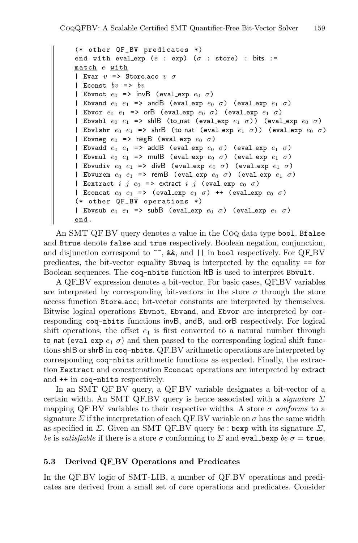```
(* other QF_BV predicates *)
end with eval exp (e : exp) (\sigma : store) : bits :=
match e with
| Evar v \Rightarrow Store.acc v \sigma| Econst bv \Rightarrow bv| Ebvnot e_0 => invB (eval_exp e_0 \sigma)
| Ebvand e_0 e_1 => andB (eval_exp e_0 \sigma) (eval_exp e_1 \sigma)
| Ebvor e_0 e_1 => orB (eval_exp e_0 \sigma) (eval_exp e_1 \sigma)
| Ebvshl e_0 e_1 => shlB (to_nat (eval_exp e_1 \sigma)) (eval_exp e_0 \sigma)
| Ebvlshr e_0 e_1 => shrB (to_nat (eval_exp e_1 \sigma)) (eval_exp e_0 \sigma)
| Ebvneg e_0 => negB (eval_exp e_0 \sigma)
| Ebvadd e_0 e_1 => addB (eval_exp e_0 \sigma) (eval_exp e_1 \sigma)
| Ebvmul e_0 e_1 => mulB (eval_exp e_0 \sigma) (eval_exp e_1 \sigma)
| Ebvudiv e_0 e_1 => divB (eval_exp e_0 \sigma) (eval_exp e_1 \sigma)
| Ebvurem e_0 e_1 => remB (eval_exp e_0 \sigma) (eval_exp e_1 \sigma)
| Eextract i j e_0 => extract i j (eval_exp e_0 \sigma)
| Econcat e_0 e_1 => (eval_exp e_1 \sigma) ++ (eval_exp e_0 \sigma)
(* other QF_BV operations *)
| Ebvsub e_0 e_1 => subB (eval_exp e_0 \sigma) (eval_exp e_1 \sigma)
end .
```
An SMT QF BV query denotes a value in the CoQ data type bool. Bfalse and Btrue denote false and true respectively. Boolean negation, conjunction, and disjunction correspond to  $\sim$ , &&, and || in bool respectively. For QF\_BV predicates, the bit-vector equality Bbveq is interpreted by the equality == for Boolean sequences. The coq-nbits function ltB is used to interpret Bbvult.

A QF BV expression denotes a bit-vector. For basic cases, QF BV variables are interpreted by corresponding bit-vectors in the store  $\sigma$  through the store access function Store.acc; bit-vector constants are interpreted by themselves. Bitwise logical operations Ebvnot, Ebvand, and Ebvor are interpreted by corresponding coq-nbits functions invB, andB, and orB respectively. For logical shift operations, the offset  $e_1$  is first converted to a natural number through to nat (eval exp  $e_1 \sigma$ ) and then passed to the corresponding logical shift functions shlB or shrB in coq-nbits. QF BV arithmetic operations are interpreted by corresponding coq-nbits arithmetic functions as expected. Finally, the extraction Eextract and concatenation Econcat operations are interpreted by extract and ++ in coq-nbits respectively.

In an SMT QF BV query, a QF BV variable designates a bit-vector of a certain width. An SMT QF BV query is hence associated with a *signature* Σ mapping QF<sub>-</sub>BV variables to their respective widths. A store  $\sigma$  *conforms* to a signature  $\Sigma$  if the interpretation of each QF. BV variable on  $\sigma$  has the same width as specified in  $\Sigma$ . Given an SMT QF BV query *be* : bexp with its signature  $\Sigma$ , *be* is *satisfiable* if there is a store  $\sigma$  conforming to  $\Sigma$  and eval bexp *be*  $\sigma$  = true.

#### **5.3 Derived QF BV Operations and Predicates**

In the QF-BV logic of SMT-LIB, a number of QF-BV operations and predicates are derived from a small set of core operations and predicates. Consider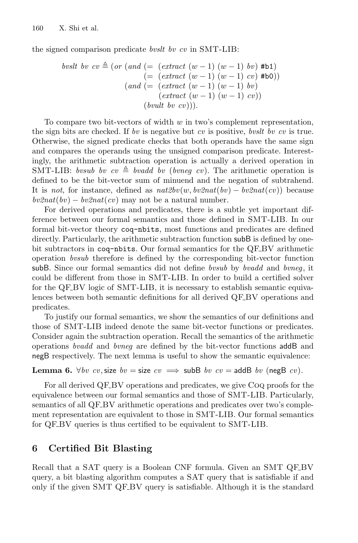the signed comparison predicate *bvslt bv cv* in SMT-LIB:

\n
$$
\text{byslt by } cv \triangleq \text{(or (and)} \quad \text{= (extract } (w-1) \ (w-1) \ by \ \text{#b1})
$$
\n
$$
\text{(= (extract } (w-1) \ (w-1) \ cv) \ \text{#b0}))
$$
\n
$$
\text{(and } (\text{= (extract } (w-1) \ (w-1) \ by \ \text{(extract } (w-1) \ (w-1) \ cv))
$$
\n
$$
\text{(bvult by } cv))\text{)}.
$$
\n

To compare two bit-vectors of width  $w$  in two's complement representation, the sign bits are checked. If *bv* is negative but *cv* is positive, *bvslt bv cv* is true. Otherwise, the signed predicate checks that both operands have the same sign and compares the operands using the unsigned comparison predicate. Interestingly, the arithmetic subtraction operation is actually a derived operation in SMT-LIB: *bvsub bv cv*  $\triangleq$  *bvadd bv (bvneg cv)*. The arithmetic operation is defined to be the bit-vector sum of minuend and the negation of subtrahend. It is *not*, for instance, defined as *nat2bv*(w, *bv2nat*(*bv*) − *bv2nat*(*cv*)) because  $bv2nat(bv) - bv2nat(cv)$  may not be a natural number.

For derived operations and predicates, there is a subtle yet important difference between our formal semantics and those defined in SMT-LIB. In our formal bit-vector theory coq-nbits, most functions and predicates are defined directly. Particularly, the arithmetic subtraction function subB is defined by onebit subtractors in coq-nbits. Our formal semantics for the QF BV arithmetic operation *bvsub* therefore is defined by the corresponding bit-vector function subB. Since our formal semantics did not define *bvsub* by *bvadd* and *bvneg*, it could be different from those in SMT-LIB. In order to build a certified solver for the QF\_BV logic of SMT-LIB, it is necessary to establish semantic equivalences between both semantic definitions for all derived QF BV operations and predicates.

To justify our formal semantics, we show the semantics of our definitions and those of SMT-LIB indeed denote the same bit-vector functions or predicates. Consider again the subtraction operation. Recall the semantics of the arithmetic operations *bvadd* and *bvneg* are defined by the bit-vector functions addB and negB respectively. The next lemma is useful to show the semantic equivalence:

#### **Lemma 6.**  $\forall bv\ cvv$ , size  $bv = \text{size}\ cv \implies \text{subB}\ bv\ cvv = \text{addB}\ bv\ (\text{negB}\ cv)$ .

For all derived QF\_BV operations and predicates, we give CoQ proofs for the equivalence between our formal semantics and those of SMT-LIB. Particularly, semantics of all QF BV arithmetic operations and predicates over two's complement representation are equivalent to those in SMT-LIB. Our formal semantics for QF BV queries is thus certified to be equivalent to SMT-LIB.

#### <span id="page-11-0"></span>**6 Certified Bit Blasting**

Recall that a SAT query is a Boolean CNF formula. Given an SMT QF BV query, a bit blasting algorithm computes a SAT query that is satisfiable if and only if the given SMT QF BV query is satisfiable. Although it is the standard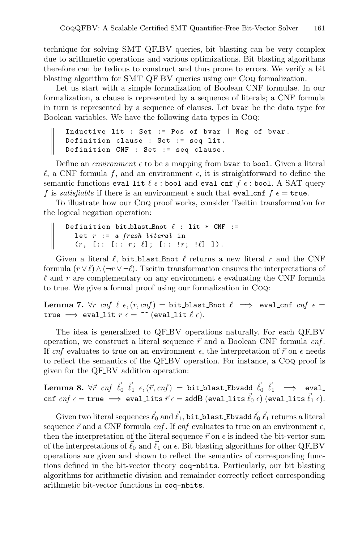technique for solving SMT QF BV queries, bit blasting can be very complex due to arithmetic operations and various optimizations. Bit blasting algorithms therefore can be tedious to construct and thus prone to errors. We verify a bit blasting algorithm for SMT QF BV queries using our Coq formalization.

Let us start with a simple formalization of Boolean CNF formulae. In our formalization, a clause is represented by a sequence of literals; a CNF formula in turn is represented by a sequence of clauses. Let bvar be the data type for Boolean variables. We have the following data types in Coq:

```
Inductive lit : Set := Pos of bvar | Neg of bvar.
Definition clause : Set := seq lit.
Definition CNF : Set := seq clause.
```
Define an *environment*  $\epsilon$  to be a mapping from **bvar** to **bool**. Given a literal  $\ell$ , a CNF formula f, and an environment  $\epsilon$ , it is straightforward to define the semantic functions eval\_lit  $\ell \epsilon$ : bool and eval\_cnf  $f \epsilon$ : bool. A SAT query f is *satisfiable* if there is an environment  $\epsilon$  such that eval cnf  $f \epsilon = \text{true}$ .

To illustrate how our Coq proof works, consider Tseitin transformation for the logical negation operation:

```
Definition bit_blast_Bnot \ell : lit * CNF :=
   let r := a fresh literal in
   (r, [\, :: \, [:: \, r; \, \ell]; \, [:: \, !r; \, \ell] ] ).
```
Given a literal  $\ell$ , bit blast Bnot  $\ell$  returns a new literal r and the CNF formula  $(r \vee \ell) \wedge (\neg r \vee \neg \ell)$ . Tseitin transformation ensures the interpretations of  $\ell$  and r are complementary on any environment  $\epsilon$  evaluating the CNF formula to true. We give a formal proof using our formalization in Coq:

**Lemma 7.**  $\forall r$  cnf  $\ell$   $\epsilon$ ,  $(r, cnf) = \text{bit\_blast\_Bnot} \ell \implies \text{eval\_cnf}$  cnf  $\epsilon =$ true  $\implies$  eval\_lit  $r \in \mathbb{R}^*$  (eval\_lit  $\ell \in$ ).

The idea is generalized to QF\_BV operations naturally. For each QF\_BV operation, we construct a literal sequence  $\vec{r}$  and a Boolean CNF formula  $cnf$ . If cnf evaluates to true on an environment  $\epsilon$ , the interpretation of  $\vec{r}$  on  $\epsilon$  needs to reflect the semantics of the QF BV operation. For instance, a Coq proof is given for the QF BV addition operation:

Lemma 8.  $\forall \vec{r}$  *cnf*  $\vec{\ell}_0$   $\vec{\ell}_1$   $\epsilon$ ,  $(\vec{r}, cnf)$  = bit\_blast\_Ebvadd  $\vec{\ell}_0$   $\vec{\ell}_1$  =  $\Rightarrow$  eval\_ cnf  $cnf \in \pm \text{true} \implies \text{eval\_lits } \vec{r} \in = \text{addB} (\text{eval\_lits } \vec{\ell}_0 \epsilon) (\text{eval\_lits } \vec{\ell}_1 \epsilon).$ 

Given two literal sequences  $\vec{\ell}_0$  and  $\vec{\ell}_1$ , bit blast Ebvadd  $\vec{\ell}_0$   $\vec{\ell}_1$  returns a literal sequence  $\vec{r}$  and a CNF formula *cnf*. If *cnf* evaluates to true on an environment  $\epsilon$ , then the interpretation of the literal sequence  $\vec{r}$  on  $\epsilon$  is indeed the bit-vector sum of the interpretations of  $\ell_0$  and  $\ell_1$  on  $\epsilon$ . Bit blasting algorithms for other QF\_BV operations are given and shown to reflect the semantics of corresponding functions defined in the bit-vector theory coq-nbits. Particularly, our bit blasting algorithms for arithmetic division and remainder correctly reflect corresponding arithmetic bit-vector functions in coq-nbits.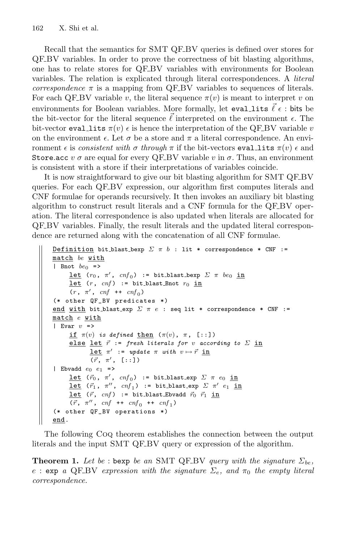Recall that the semantics for SMT QF BV queries is defined over stores for QF BV variables. In order to prove the correctness of bit blasting algorithms, one has to relate stores for QF BV variables with environments for Boolean variables. The relation is explicated through literal correspondences. A *literal correspondence*  $\pi$  is a mapping from QF BV variables to sequences of literals. For each QF\_BV variable v, the literal sequence  $\pi(v)$  is meant to interpret v on environments for Boolean variables. More formally, let evalities  $\vec{\ell} \epsilon$ : bits be the bit-vector for the literal sequence  $\ell$  interpreted on the environment  $\epsilon$ . The bit-vector eval lits  $\pi(v)$  *i* is hence the interpretation of the QF\_BV variable *v* on the environment  $\epsilon$ . Let  $\sigma$  be a store and  $\pi$  a literal correspondence. An environment  $\epsilon$  is *consistent with*  $\sigma$  *through*  $\pi$  if the bit-vectors eval lits  $\pi(v)$   $\epsilon$  and Store.acc  $v \sigma$  are equal for every QF BV variable v in  $\sigma$ . Thus, an environment is consistent with a store if their interpretations of variables coincide.

It is now straightforward to give our bit blasting algorithm for SMT QF-BV queries. For each QF BV expression, our algorithm first computes literals and CNF formulae for operands recursively. It then invokes an auxiliary bit blasting algorithm to construct result literals and a CNF formula for the QF BV operation. The literal correspondence is also updated when literals are allocated for QF BV variables. Finally, the result literals and the updated literal correspondence are returned along with the concatenation of all CNF formulae.

```
Definition bit blast bexp \Sigma \pi b : lit * correspondence * CNF :=
match be with
| Bnot be_0 =>
      <u>let</u> (r_0, \pi', cnf_0) := bit_blast_bexp \Sigma \pi be<sub>0</sub> in
      let (r, cnf) := bit_blast_Bnot r_0 in
      (r, \pi', \text{cnf } \text{++ } \text{cnf}_0)(* other QF_BV predicates *)
end with bit_blast_exp \Sigma \pi e : seq lit * correspondence * CNF :=
match e with
| Evar v \Rightarrowif \pi(v) is defined then (\pi(v), \pi, [\cdot : :])else lse let \vec{r} := fresh literals for v according to \Sigma in
              \frac{\text{let}}{\text{let}} \pi' := update \pi with v \mapsto \vec{r} in
               (\vec{r}, \pi', [\cdot : :])| Ebvadd e_0 e_1 =>
      <u>let</u> (\vec{r}_0, \pi', cnf_0) := bit_blast_exp \Sigma \pi e_0 in
      <u>let</u> (\vec{r}_1, \pi'', \text{cnf}_1) := bit_blast_exp \Sigma \pi' e_1 in
      let (\vec{r}, cnf) := bit_blast_Ebvadd \vec{r}_0 \vec{r}_1 in
      (\vec{r}, \pi'', \text{cnf } \text{++ } \text{cnf}_0 \text{++ } \text{cnf}_1)(* other QF_BV operations *)
end.
```
The following Coq theorem establishes the connection between the output literals and the input SMT QF BV query or expression of the algorithm.

**Theorem 1.** Let be : bexp be an SMT QF\_BV query with the signature  $\Sigma_{be}$ , e : exp *a* QF-BV *expression with the signature*  $\Sigma_e$ , and  $\pi_0$  the empty literal *correspondence.*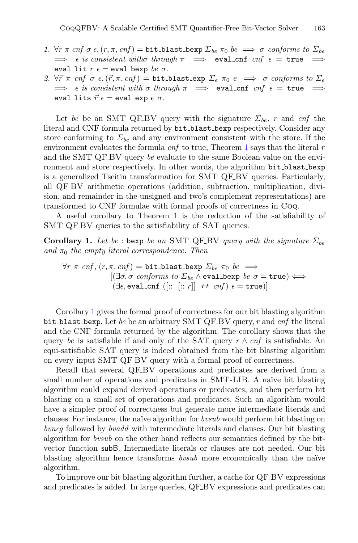- *1.*  $\forall r \pi \text{ cn} f \sigma \epsilon, (r, \pi, \text{cn} f) = \text{bit\_blast\_bexp } \Sigma_{be} \pi_0 \text{ be } \implies \sigma \text{ conforms to } \Sigma_{be} \implies \epsilon \text{ is consistent with } \sigma \text{ through } \pi \implies \text{eval\_cnf } \text{cn} f \epsilon = \text{true } \implies$  $\implies$   $\epsilon$  *is consistent witho through*  $\pi \implies$  eval cnf  $\epsilon$  = true eval\_lit  $r \epsilon$  = eval\_bexp *be*  $\sigma$ .
- <span id="page-14-0"></span>2.  $\forall \vec{r} \pi$  *cnf*  $\sigma \epsilon, (\vec{r}, \pi, \text{cnf}) = \text{bit\_blast}$  exp  $\Sigma_e$   $\pi_0$   $e \implies \sigma$  *conforms to*  $\Sigma_e$  $\implies$  *e* is consistent with  $\sigma$  through  $\pi$   $\implies$  eval cnf  $cf$   $\epsilon$  = true  $\implies$ eval\_lits  $\vec{r} \epsilon = \text{eval\_exp} \ e \ \sigma$ .

Let *be* be an SMT QF.BV query with the signature  $\Sigma_{be}$ , *r* and *cnf* the literal and CNF formula returned by bit blast bexp respectively. Consider any store conforming to  $\Sigma_{be}$  and any environment consistent with the store. If the environment evaluates the formula *cnf* to true, Theorem [1](#page-14-0) says that the literal *r* and the SMT QF BV query *be* evaluate to the same Boolean value on the environment and store respectively. In other words, the algorithm bit blast bexp is a generalized Tseitin transformation for SMT QF BV queries. Particularly, all QF BV arithmetic operations (addition, subtraction, multiplication, division, and remainder in the unsigned and two's complement representations) are transformed to CNF formulae with formal proofs of correctness in Coq.

<span id="page-14-1"></span>A useful corollary to Theorem [1](#page-14-0) is the reduction of the satisfiability of SMT QF\_BV queries to the satisfiability of SAT queries.

**Corollary 1.** *Let be* : bexp *be an* SMT QF\_BV *query with the signature*  $\Sigma_{be}$ *and*  $\pi_0$  *the empty literal correspondence. Then* 

$$
\forall r \ \pi \ \textit{cnf}, (r, \pi, \textit{cnf}) = \texttt{bit\_blast\texttt{bexp}} \ \Sigma_{be} \ \pi_0 \ be \implies [(\exists \sigma, \sigma \ \textit{conforms to} \ \Sigma_{be} \land \texttt{eval\texttt{bexp}} \ be \ \sigma = \texttt{true}) \Longleftrightarrow (\exists \epsilon, \texttt{eval\texttt{cnf}} \ ([::~[:::r]] \ \texttt{++} \ \textit{cnf}) \ \epsilon = \texttt{true})].
$$

Corollary [1](#page-14-1) gives the formal proof of correctness for our bit blasting algorithm bit blast bexp. Let *be* be an arbitrary SMT QF BV query, r and *cnf* the literal and the CNF formula returned by the algorithm. The corollary shows that the query *be* is satisfiable if and only of the SAT query  $r \wedge cnf$  is satisfiable. An equi-satisfiable SAT query is indeed obtained from the bit blasting algorithm on every input SMT QF BV query with a formal proof of correctness.

Recall that several QF BV operations and predicates are derived from a small number of operations and predicates in SMT-LIB. A naïve bit blasting algorithm could expand derived operations or predicates, and then perform bit blasting on a small set of operations and predicates. Such an algorithm would have a simpler proof of correctness but generate more intermediate literals and clauses. For instance, the naïve algorithm for *bvsub* would perform bit blasting on *bvneg* followed by *bvadd* with intermediate literals and clauses. Our bit blasting algorithm for *bvsub* on the other hand reflects our semantics defined by the bitvector function subB. Intermediate literals or clauses are not needed. Our bit blasting algorithm hence transforms *bvsub* more economically than the naïve algorithm.

To improve our bit blasting algorithm further, a cache for QF BV expressions and predicates is added. In large queries, QF BV expressions and predicates can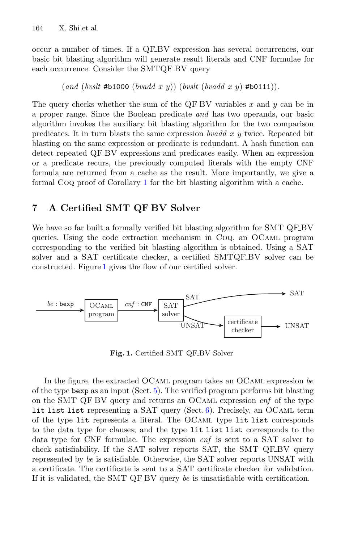occur a number of times. If a QF BV expression has several occurrences, our basic bit blasting algorithm will generate result literals and CNF formulae for each occurrence. Consider the SMTQF-BV query

(*and* (*bvslt* #b1000 (*bvadd* x y)) (*bvslt* (*bvadd* x y) #b0111)).

The query checks whether the sum of the QF\_BV variables  $x$  and  $y$  can be in a proper range. Since the Boolean predicate *and* has two operands, our basic algorithm invokes the auxiliary bit blasting algorithm for the two comparison predicates. It in turn blasts the same expression *bvadd* x y twice. Repeated bit blasting on the same expression or predicate is redundant. A hash function can detect repeated QF\_BV expressions and predicates easily. When an expression or a predicate recurs, the previously computed literals with the empty CNF formula are returned from a cache as the result. More importantly, we give a formal Coq proof of Corollary [1](#page-14-1) for the bit blasting algorithm with a cache.

## <span id="page-15-0"></span>**7 A Certified SMT QF BV Solver**

We have so far built a formally verified bit blasting algorithm for SMT QF\_BV queries. Using the code extraction mechanism in Coq, an OCaml program corresponding to the verified bit blasting algorithm is obtained. Using a SAT solver and a SAT certificate checker, a certified SMTQF BV solver can be constructed. Figure [1](#page-15-1) gives the flow of our certified solver.



<span id="page-15-1"></span>Fig. 1. Certified SMT QF<sub>BV</sub> Solver

In the figure, the extracted OCaml program takes an OCaml expression *be* of the type bexp as an input (Sect.  $5$ ). The verified program performs bit blasting on the SMT QF BV query and returns an OCaml expression *cnf* of the type lit list list representing a SAT query (Sect.  $6$ ). Precisely, an OCAML term of the type lit represents a literal. The OCaml type lit list corresponds to the data type for clauses; and the type lit list list corresponds to the data type for CNF formulae. The expression *cnf* is sent to a SAT solver to check satisfiability. If the SAT solver reports SAT, the SMT QF-BV query represented by *be* is satisfiable. Otherwise, the SAT solver reports UNSAT with a certificate. The certificate is sent to a SAT certificate checker for validation. If it is validated, the SMT QF<sub>-B</sub>V query *be* is unsatisfiable with certification.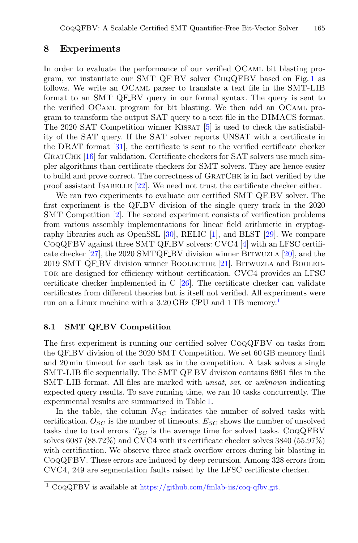### <span id="page-16-0"></span>**8 Experiments**

In order to evaluate the performance of our verified OCaml bit blasting program, we instantiate our SMT QF BV solver CoqQFBV based on Fig. [1](#page-15-1) as follows. We write an OCaml parser to translate a text file in the SMT-LIB format to an SMT QF\_BV query in our formal syntax. The query is sent to the verified OCaml program for bit blasting. We then add an OCaml program to transform the output SAT query to a text file in the DIMACS format. The 2020 SAT Competition winner KISSAT  $[5]$  is used to check the satisfiability of the SAT query. If the SAT solver reports UNSAT with a certificate in the DRAT format [\[31\]](#page-22-5), the certificate is sent to the verified certificate checker GRATCHK [\[16\]](#page-21-11) for validation. Certificate checkers for SAT solvers use much simpler algorithms than certificate checkers for SMT solvers. They are hence easier to build and prove correct. The correctness of GRATCHK is in fact verified by the proof assistant ISABELLE  $[22]$  $[22]$ . We need not trust the certificate checker either.

We ran two experiments to evaluate our certified SMT QF BV solver. The first experiment is the QF BV division of the single query track in the 2020 SMT Competition [\[2](#page-20-5)]. The second experiment consists of verification problems from various assembly implementations for linear field arithmetic in cryptography libraries such as OpenSSL [\[30](#page-22-3)], RELIC [\[1\]](#page-20-6), and BLST [\[29](#page-22-6)]. We compare CoqQFBV against three SMT QF BV solvers: CVC4 [\[4\]](#page-20-7) with an LFSC certifi-cate checker [\[27\]](#page-22-7), the 2020 SMTQF BV division winner BITWUZLA [\[20\]](#page-21-13), and the 2019 SMT QF-BV division winner BOOLECTOR [\[21](#page-21-14)]. BITWUZLA and BOOLECtor are designed for efficiency without certification. CVC4 provides an LFSC certificate checker implemented in C [\[26\]](#page-22-8). The certificate checker can validate certificates from different theories but is itself not verified. All experiments were run on a Linux machine with a 3.20 GHz CPU and [1](#page-16-1) TB memory.<sup>1</sup>

#### **8.1 SMT QF BV Competition**

The first experiment is running our certified solver CoqQFBV on tasks from the QF BV division of the 2020 SMT Competition. We set 60 GB memory limit and 20 min timeout for each task as in the competition. A task solves a single SMT-LIB file sequentially. The SMT QF BV division contains 6861 files in the SMT-LIB format. All files are marked with *unsat*, *sat*, or *unknown* indicating expected query results. To save running time, we ran 10 tasks concurrently. The experimental results are summarized in Table [1.](#page-17-0)

In the table, the column  $N_{SC}$  indicates the number of solved tasks with certification.  $O_{SC}$  is the number of timeouts.  $E_{SC}$  shows the number of unsolved tasks due to tool errors.  $T_{SC}$  is the average time for solved tasks.  $CoQCFBV$ solves 6087 (88.72%) and CVC4 with its certificate checker solves 3840 (55.97%) with certification. We observe three stack overflow errors during bit blasting in CoqQFBV. These errors are induced by deep recursion. Among 328 errors from CVC4, 249 are segmentation faults raised by the LFSC certificate checker.

<span id="page-16-1"></span> $1 \text{Co}$ QQFBV is available at [https://github.com/fmlab-iis/coq-qfbv.git.](https://github.com/fmlab-iis/coq-qfbv.git)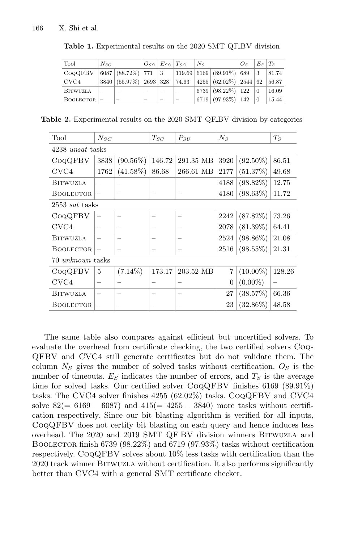| Tool            | $N_{SC}$ |                                 |                          | $O_{SC}$ $E_{SC}$ $T_{SC}$ |                          | $N_s$ |                                | O <sub>s</sub> | $E_S$    | $T_{S}$ |
|-----------------|----------|---------------------------------|--------------------------|----------------------------|--------------------------|-------|--------------------------------|----------------|----------|---------|
| COQQFBV         |          | $6087   (88.72\%)   771$        |                          | $\vert 3 \vert$            |                          |       | 119.69   6169   (89.91%)   689 |                | 3        | 81.74   |
| CVC4            |          | $3840   (55.97\%)   2693   328$ |                          |                            | 74.63                    |       | $4255 (62.02\%) 2544 62$       |                |          | 56.87   |
| <b>BITWUZLA</b> | -        | $\overline{\phantom{a}}$        | $\overline{\phantom{a}}$ | $\overline{\phantom{a}}$   | $\overline{\phantom{a}}$ |       | $6739   (98.22\%)   122$       |                | $\Omega$ | 16.09   |
| BOOLECTOR       |          | $\overline{\phantom{a}}$        | -                        | -                          | $\overline{\phantom{a}}$ | 6719  | $(97.93\%)$ 142                |                |          | 15.44   |

<span id="page-17-0"></span>Table 1. Experimental results on the 2020 SMT QF<sub>-BV</sub> division

**Table 2.** Experimental results on the 2020 SMT QF BV division by categories

<span id="page-17-1"></span>

| Tool                    | $N_{SC}$          |                          | $T_{SC}$ | $P_{\rm SU}$             | $N_{S}$ |             | $T_S$  |  |
|-------------------------|-------------------|--------------------------|----------|--------------------------|---------|-------------|--------|--|
| 4238 <i>unsat</i> tasks |                   |                          |          |                          |         |             |        |  |
| COQQFBV                 | 3838              | $(90.56\%)$              | 146.72   | 291.35 MB                | 3920    | $(92.50\%)$ | 86.51  |  |
| CVC4                    | 1762              | $(41.58\%)$              | 86.68    | 266.61 MB                | 2177    | (51.37%)    | 49.68  |  |
| BITWUZLA                |                   | $\overline{\phantom{0}}$ | -        | $\qquad \qquad -$        | 4188    | $(98.82\%)$ | 12.75  |  |
| <b>BOOLECTOR</b>        | $\qquad \qquad -$ | -                        |          | -                        | 4180    | $(98.63\%)$ | 11.72  |  |
| 2553 sat tasks          |                   |                          |          |                          |         |             |        |  |
| COQQFBV                 |                   |                          |          | $\overline{\phantom{0}}$ | 2242    | $(87.82\%)$ | 73.26  |  |
| CVC4                    |                   | $\overline{\phantom{0}}$ |          | -                        | 2078    | $(81.39\%)$ | 64.41  |  |
| <b>BITWUZLA</b>         | $\qquad \qquad -$ | $\overline{\phantom{0}}$ | —        | -                        | 2524    | $(98.86\%)$ | 21.08  |  |
| <b>BOOLECTOR</b>        | $\qquad \qquad -$ |                          |          |                          | 2516    | $(98.55\%)$ | 21.31  |  |
| 70 <i>unknown</i> tasks |                   |                          |          |                          |         |             |        |  |
| COQQFBV                 | 5                 | $(7.14\%)$               | 173.17   | 203.52 MB                | 7       | $(10.00\%)$ | 128.26 |  |
| CVC4                    | -                 | $\overline{\phantom{0}}$ |          |                          | 0       | $(0.00\%)$  |        |  |
| BITWUZLA                | $\qquad \qquad -$ | -                        |          | -                        | 27      | (38.57%)    | 66.36  |  |
| <b>BOOLECTOR</b>        | $\qquad \qquad$   |                          |          |                          | 23      | $(32.86\%)$ | 48.58  |  |

The same table also compares against efficient but uncertified solvers. To evaluate the overhead from certificate checking, the two certified solvers Coq-QFBV and CVC4 still generate certificates but do not validate them. The column  $N<sub>S</sub>$  gives the number of solved tasks without certification.  $O<sub>S</sub>$  is the number of timeouts.  $E<sub>S</sub>$  indicates the number of errors, and  $T<sub>S</sub>$  is the average time for solved tasks. Our certified solver CoqQFBV finishes 6169 (89.91%) tasks. The CVC4 solver finishes 4255 (62.02%) tasks. CoqQFBV and CVC4 solve  $82(= 6169 - 6087)$  and  $415(= 4255 - 3840)$  more tasks without certification respectively. Since our bit blasting algorithm is verified for all inputs, CoqQFBV does not certify bit blasting on each query and hence induces less overhead. The 2020 and 2019 SMT QF BV division winners Bitwuzla and BOOLECTOR finish 6739 (98.22%) and 6719 (97.93%) tasks without certification respectively. CoqQFBV solves about 10% less tasks with certification than the 2020 track winner Bitwuzla without certification. It also performs significantly better than CVC4 with a general SMT certificate checker.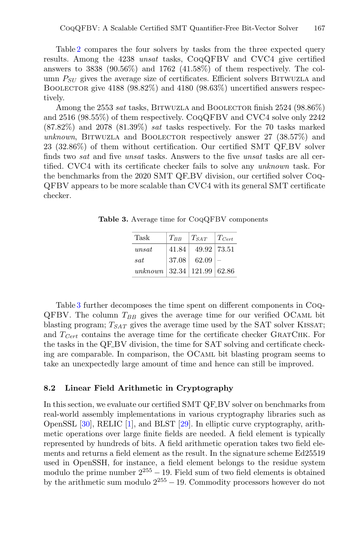Table [2](#page-17-1) compares the four solvers by tasks from the three expected query results. Among the 4238 *unsat* tasks, CoqQFBV and CVC4 give certified answers to  $3838$  (90.56%) and  $1762$  (41.58%) of them respectively. The column  $P_{SI}$  gives the average size of certificates. Efficient solvers BITWUZLA and BOOLECTOR give  $4188$  ( $98.82\%$ ) and  $4180$  ( $98.63\%$ ) uncertified answers respectively.

Among the 2553 *sat* tasks, BITWUZLA and BOOLECTOR finish 2524 (98.86%) and 2516 (98.55%) of them respectively. CoqQFBV and CVC4 solve only 2242 (87.82%) and 2078 (81.39%) *sat* tasks respectively. For the 70 tasks marked unknown, BITWUZLA and BOOLECTOR respectively answer 27 (38.57%) and 23 (32.86%) of them without certification. Our certified SMT QF BV solver finds two *sat* and five *unsat* tasks. Answers to the five *unsat* tasks are all certified. CVC4 with its certificate checker fails to solve any *unknown* task. For the benchmarks from the 2020 SMT QF BV division, our certified solver Coq-QFBV appears to be more scalable than CVC4 with its general SMT certificate checker.

**Table 3.** Average time for CoqQFBV components

<span id="page-18-0"></span>

| Task                             | $T_{BB}$ | $T_{SAT}$     | $T_{Cert}$ |
|----------------------------------|----------|---------------|------------|
| unsat                            | 41.84    | 49.92   73.51 |            |
| sat                              | 37.08    | 62.09         | -          |
| unknown   32.34   121.99   62.86 |          |               |            |

Table [3](#page-18-0) further decomposes the time spent on different components in Coq- $QFBV$ . The column  $T_{BB}$  gives the average time for our verified OCAML bit blasting program;  $T_{SAT}$  gives the average time used by the SAT solver KISSAT; and  $T_{Cert}$  contains the average time for the certificate checker GRATCHK. For the tasks in the QF BV division, the time for SAT solving and certificate checking are comparable. In comparison, the OCaml bit blasting program seems to take an unexpectedly large amount of time and hence can still be improved.

#### **8.2 Linear Field Arithmetic in Cryptography**

In this section, we evaluate our certified SMT QF BV solver on benchmarks from real-world assembly implementations in various cryptography libraries such as OpenSSL [\[30](#page-22-3)], RELIC [\[1](#page-20-6)], and BLST [\[29\]](#page-22-6). In elliptic curve cryptography, arithmetic operations over large finite fields are needed. A field element is typically represented by hundreds of bits. A field arithmetic operation takes two field elements and returns a field element as the result. In the signature scheme Ed25519 used in OpenSSH, for instance, a field element belongs to the residue system modulo the prime number  $2^{255} - 19$ . Field sum of two field elements is obtained by the arithmetic sum modulo  $2^{255} - 19$ . Commodity processors however do not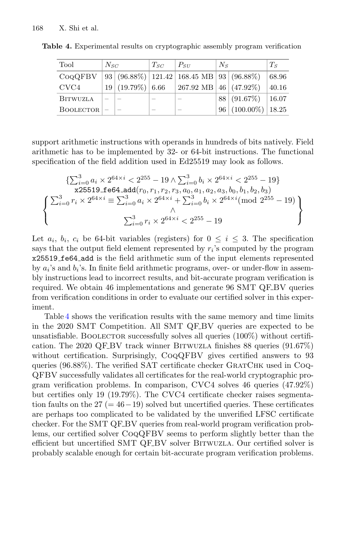<span id="page-19-0"></span>

| Tool            | $N_{SC}$ |                     | $T_{SC}$ | $P_{SII}$                                | $N_{\rm s}$ |                       | $T_s$ |
|-----------------|----------|---------------------|----------|------------------------------------------|-------------|-----------------------|-------|
| COQQFBV         |          |                     |          | 93 (96.88%) 121.42 168.45 MB 93 (96.88%) |             |                       | 68.96 |
| CVC4            |          | $19 (19.79\%) 6.66$ |          | 267.92 MB $\vert$ 46 $\vert$ (47.92%)    |             |                       | 40.16 |
| <b>BITWUZLA</b> |          |                     |          |                                          |             | 88   (91.67%)         | 16.07 |
| BOOLECTOR       |          |                     |          |                                          |             | $96 (100.00\%) 18.25$ |       |

**Table 4.** Experimental results on cryptographic assembly program verification

support arithmetic instructions with operands in hundreds of bits natively. Field arithmetic has to be implemented by 32- or 64-bit instructions. The functional specification of the field addition used in Ed25519 may look as follows.

$$
\left\{\n\begin{array}{l}\n\left\{\n\sum_{i=0}^{3} a_i \times 2^{64 \times i} < 2^{255} - 19 \land \sum_{i=0}^{3} b_i \times 2^{64 \times i} < 2^{255} - 19\n\right\} \\
\text{x25519\_f e64\_add}(r_0, r_1, r_2, r_3, a_0, a_1, a_2, a_3, b_0, b_1, b_2, b_3) \\
\left\{\n\sum_{i=0}^{3} r_i \times 2^{64 \times i} \equiv \sum_{i=0}^{3} a_i \times 2^{64 \times i} + \sum_{i=0}^{3} b_i \times 2^{64 \times i} \text{(mod } 2^{255} - 19) \\
\wedge \right\} \\
\text{and } \\
\sum_{i=0}^{3} r_i \times 2^{64 \times i} < 2^{255} - 19\n\end{array}\n\right\}
$$

Let  $a_i$ ,  $b_i$ ,  $c_i$  be 64-bit variables (registers) for  $0 \le i \le 3$ . The specification says that the output field element represented by  $r_i$ 's computed by the program x25519 fe64 add is the field arithmetic sum of the input elements represented by a*i*'s and b*i*'s. In finite field arithmetic programs, over- or under-flow in assembly instructions lead to incorrect results, and bit-accurate program verification is required. We obtain 46 implementations and generate 96 SMT QF\_BV queries from verification conditions in order to evaluate our certified solver in this experiment.

Table [4](#page-19-0) shows the verification results with the same memory and time limits in the 2020 SMT Competition. All SMT QF BV queries are expected to be unsatisfiable. BOOLECTOR successfully solves all queries  $(100\%)$  without certification. The 2020 QF BV track winner Bitwuzla finishes 88 queries (91.67%) without certification. Surprisingly, CoqQFBV gives certified answers to 93 queries (96.88%). The verified SAT certificate checker GRATCHK used in Coq-QFBV successfully validates all certificates for the real-world cryptographic program verification problems. In comparison, CVC4 solves 46 queries (47.92%) but certifies only 19 (19.79%). The CVC4 certificate checker raises segmentation faults on the  $27 (= 46-19)$  solved but uncertified queries. These certificates are perhaps too complicated to be validated by the unverified LFSC certificate checker. For the SMT QF BV queries from real-world program verification problems, our certified solver CoqQFBV seems to perform slightly better than the efficient but uncertified SMT QF BV solver Bitwuzla. Our certified solver is probably scalable enough for certain bit-accurate program verification problems.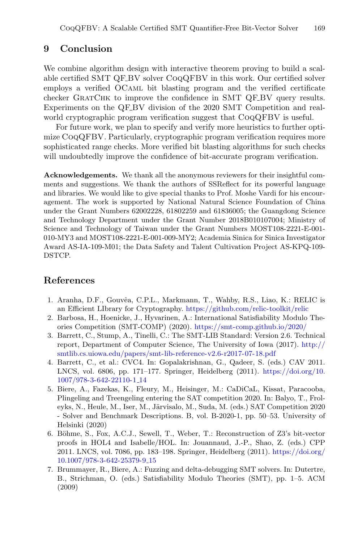## <span id="page-20-3"></span>**9 Conclusion**

We combine algorithm design with interactive theorem proving to build a scalable certified SMT QF BV solver CoqQFBV in this work. Our certified solver employs a verified OCaml bit blasting program and the verified certificate checker GratChk to improve the confidence in SMT QF BV query results. Experiments on the QF BV division of the 2020 SMT Competition and realworld cryptographic program verification suggest that COQQFBV is useful.

For future work, we plan to specify and verify more heuristics to further optimize CoqQFBV. Particularly, cryptographic program verification requires more sophisticated range checks. More verified bit blasting algorithms for such checks will undoubtedly improve the confidence of bit-accurate program verification.

**Acknowledgements.** We thank all the anonymous reviewers for their insightful comments and suggestions. We thank the authors of SSReflect for its powerful language and libraries. We would like to give special thanks to Prof. Moshe Vardi for his encouragement. The work is supported by National Natural Science Foundation of China under the Grant Numbers 62002228, 61802259 and 61836005; the Guangdong Science and Technology Department under the Grant Number 2018B010107004; Ministry of Science and Technology of Taiwan under the Grant Numbers MOST108-2221-E-001- 010-MY3 and MOST108-2221-E-001-009-MY2; Academia Sinica for Sinica Investigator Award AS-IA-109-M01; the Data Safety and Talent Cultivation Project AS-KPQ-109- DSTCP.

## **References**

- <span id="page-20-6"></span>1. Aranha, D.F., Gouvêa, C.P.L., Markmann, T., Wahby, R.S., Liao, K.: RELIC is an Efficient LIbrary for Cryptography. <https://github.com/relic-toolkit/relic>
- <span id="page-20-5"></span>2. Barbosa, H., Hoenicke, J., Hyvarinen, A.: International Satisfiability Modulo Theories Competition (SMT-COMP) (2020). <https://smt-comp.github.io/2020/>
- <span id="page-20-1"></span>3. Barrett, C., Stump, A., Tinelli, C.: The SMT-LIB Standard: Version 2.6. Technical report, Department of Computer Science, The University of Iowa (2017). [http://](http://smtlib.cs.uiowa.edu/papers/smt-lib-reference-v2.6-r2017-07-18.pdf) [smtlib.cs.uiowa.edu/papers/smt-lib-reference-v2.6-r2017-07-18.pdf](http://smtlib.cs.uiowa.edu/papers/smt-lib-reference-v2.6-r2017-07-18.pdf)
- <span id="page-20-7"></span>4. Barrett, C., et al.: CVC4. In: Gopalakrishnan, G., Qadeer, S. (eds.) CAV 2011. LNCS, vol. 6806, pp. 171–177. Springer, Heidelberg (2011). [https://doi.org/10.](https://doi.org/10.1007/978-3-642-22110-1_14) [1007/978-3-642-22110-1](https://doi.org/10.1007/978-3-642-22110-1_14) 14
- <span id="page-20-4"></span>5. Biere, A., Fazekas, K., Fleury, M., Heisinger, M.: CaDiCaL, Kissat, Paracooba, Plingeling and Treengeling entering the SAT competition 2020. In: Balyo, T., Froleyks, N., Heule, M., Iser, M., Järvisalo, M., Suda, M. (eds.) SAT Competition 2020 - Solver and Benchmark Descriptions. B, vol. B-2020-1, pp. 50–53. University of Helsinki (2020)
- <span id="page-20-2"></span>6. Böhme, S., Fox, A.C.J., Sewell, T., Weber, T.: Reconstruction of Z3's bit-vector proofs in HOL4 and Isabelle/HOL. In: Jouannaud, J.-P., Shao, Z. (eds.) CPP 2011. LNCS, vol. 7086, pp. 183–198. Springer, Heidelberg (2011). [https://doi.org/](https://doi.org/10.1007/978-3-642-25379-9_15) [10.1007/978-3-642-25379-9](https://doi.org/10.1007/978-3-642-25379-9_15) 15
- <span id="page-20-0"></span>7. Brummayer, R., Biere, A.: Fuzzing and delta-debugging SMT solvers. In: Dutertre, B., Strichman, O. (eds.) Satisfiability Modulo Theories (SMT), pp. 1–5. ACM (2009)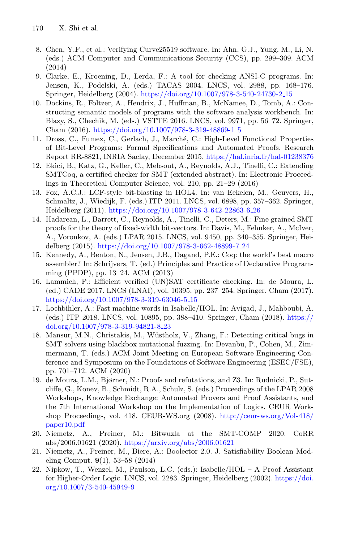- <span id="page-21-2"></span>8. Chen, Y.F., et al.: Verifying Curve25519 software. In: Ahn, G.J., Yung, M., Li, N. (eds.) ACM Computer and Communications Security (CCS), pp. 299–309. ACM (2014)
- <span id="page-21-0"></span>9. Clarke, E., Kroening, D., Lerda, F.: A tool for checking ANSI-C programs. In: Jensen, K., Podelski, A. (eds.) TACAS 2004. LNCS, vol. 2988, pp. 168–176. Springer, Heidelberg (2004). [https://doi.org/10.1007/978-3-540-24730-2](https://doi.org/10.1007/978-3-540-24730-2_15) 15
- <span id="page-21-1"></span>10. Dockins, R., Foltzer, A., Hendrix, J., Huffman, B., McNamee, D., Tomb, A.: Constructing semantic models of programs with the software analysis workbench. In: Blazy, S., Chechik, M. (eds.) VSTTE 2016. LNCS, vol. 9971, pp. 56–72. Springer, Cham (2016). [https://doi.org/10.1007/978-3-319-48869-1](https://doi.org/10.1007/978-3-319-48869-1_5) 5
- <span id="page-21-10"></span>11. Dross, C., Fumex, C., Gerlach, J., March´e, C.: High-Level Functional Properties of Bit-Level Programs: Formal Specifications and Automated Proofs. Research Report RR-8821, INRIA Saclay, December 2015. <https://hal.inria.fr/hal-01238376>
- <span id="page-21-5"></span>12. Ekici, B., Katz, G., Keller, C., Mebsout, A., Reynolds, A.J., Tinelli, C.: Extending SMTCoq, a certified checker for SMT (extended abstract). In: Electronic Proceedings in Theoretical Computer Science, vol. 210, pp. 21–29 (2016)
- <span id="page-21-7"></span>13. Fox, A.C.J.: LCF-style bit-blasting in HOL4. In: van Eekelen, M., Geuvers, H., Schmaltz, J., Wiedijk, F. (eds.) ITP 2011. LNCS, vol. 6898, pp. 357–362. Springer, Heidelberg (2011). [https://doi.org/10.1007/978-3-642-22863-6](https://doi.org/10.1007/978-3-642-22863-6_26) 26
- <span id="page-21-4"></span>14. Hadarean, L., Barrett, C., Reynolds, A., Tinelli, C., Deters, M.: Fine grained SMT proofs for the theory of fixed-width bit-vectors. In: Davis, M., Fehnker, A., McIver, A., Voronkov, A. (eds.) LPAR 2015. LNCS, vol. 9450, pp. 340–355. Springer, Heidelberg (2015). [https://doi.org/10.1007/978-3-662-48899-7](https://doi.org/10.1007/978-3-662-48899-7_24) 24
- <span id="page-21-9"></span>15. Kennedy, A., Benton, N., Jensen, J.B., Dagand, P.E.: Coq: the world's best macro assembler? In: Schrijvers, T. (ed.) Principles and Practice of Declarative Programming (PPDP), pp. 13–24. ACM (2013)
- <span id="page-21-11"></span>16. Lammich, P.: Efficient verified (UN)SAT certificate checking. In: de Moura, L. (ed.) CADE 2017. LNCS (LNAI), vol. 10395, pp. 237–254. Springer, Cham (2017). [https://doi.org/10.1007/978-3-319-63046-5](https://doi.org/10.1007/978-3-319-63046-5_15)<sub>-15</sub>
- <span id="page-21-8"></span>17. Lochbihler, A.: Fast machine words in Isabelle/HOL. In: Avigad, J., Mahboubi, A. (eds.) ITP 2018. LNCS, vol. 10895, pp. 388–410. Springer, Cham (2018). [https://](https://doi.org/10.1007/978-3-319-94821-8_23) [doi.org/10.1007/978-3-319-94821-8](https://doi.org/10.1007/978-3-319-94821-8_23) 23
- <span id="page-21-3"></span>18. Mansur, M.N., Christakis, M., Wüstholz, V., Zhang, F.: Detecting critical bugs in SMT solvers using blackbox mutational fuzzing. In: Devanbu, P., Cohen, M., Zimmermann, T. (eds.) ACM Joint Meeting on European Software Engineering Conference and Symposium on the Foundations of Software Engineering (ESEC/FSE), pp. 701–712. ACM (2020)
- <span id="page-21-6"></span>19. de Moura, L.M., Bjørner, N.: Proofs and refutations, and Z3. In: Rudnicki, P., Sutcliffe, G., Konev, B., Schmidt, R.A., Schulz, S. (eds.) Proceedings of the LPAR 2008 Workshops, Knowledge Exchange: Automated Provers and Proof Assistants, and the 7th International Workshop on the Implementation of Logics. CEUR Workshop Proceedings, vol. 418. CEUR-WS.org (2008). [http://ceur-ws.org/Vol-418/](http://ceur-ws.org/Vol-418/paper10.pdf) [paper10.pdf](http://ceur-ws.org/Vol-418/paper10.pdf)
- <span id="page-21-13"></span>20. Niemetz, A., Preiner, M.: Bitwuzla at the SMT-COMP 2020. CoRR abs/2006.01621 (2020). <https://arxiv.org/abs/2006.01621>
- <span id="page-21-14"></span>21. Niemetz, A., Preiner, M., Biere, A.: Boolector 2.0. J. Satisfiability Boolean Modeling Comput. **9**(1), 53–58 (2014)
- <span id="page-21-12"></span>22. Nipkow, T., Wenzel, M., Paulson, L.C. (eds.): Isabelle/HOL – A Proof Assistant for Higher-Order Logic. LNCS, vol. 2283. Springer, Heidelberg (2002). [https://doi.](https://doi.org/10.1007/3-540-45949-9) [org/10.1007/3-540-45949-9](https://doi.org/10.1007/3-540-45949-9)